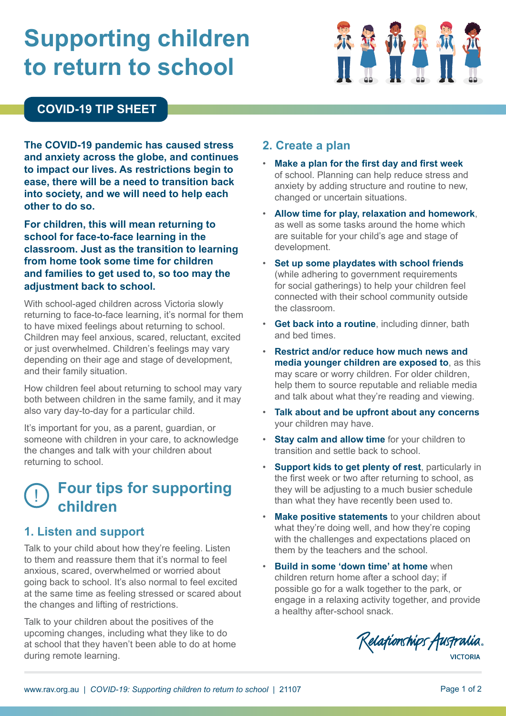# **Supporting children to return to school**



#### **COVID-19 TIP SHEET**

**The COVID-19 pandemic has caused stress and anxiety across the globe, and continues to impact our lives. As restrictions begin to ease, there will be a need to transition back into society, and we will need to help each other to do so.**

**For children, this will mean returning to school for face-to-face learning in the classroom. Just as the transition to learning from home took some time for children and families to get used to, so too may the adjustment back to school.** 

With school-aged children across Victoria slowly returning to face-to-face learning, it's normal for them to have mixed feelings about returning to school. Children may feel anxious, scared, reluctant, excited or just overwhelmed. Children's feelings may vary depending on their age and stage of development, and their family situation.

How children feel about returning to school may vary both between children in the same family, and it may also vary day-to-day for a particular child.

It's important for you, as a parent, guardian, or someone with children in your care, to acknowledge the changes and talk with your children about returning to school.

### ! **Four tips for supporting children**

#### **1. Listen and support**

Talk to your child about how they're feeling. Listen to them and reassure them that it's normal to feel anxious, scared, overwhelmed or worried about going back to school. It's also normal to feel excited at the same time as feeling stressed or scared about the changes and lifting of restrictions.

Talk to your children about the positives of the upcoming changes, including what they like to do at school that they haven't been able to do at home during remote learning.

#### **2. Create a plan**

- **Make a plan for the first day and first week** of school. Planning can help reduce stress and anxiety by adding structure and routine to new, changed or uncertain situations.
- **Allow time for play, relaxation and homework**, as well as some tasks around the home which are suitable for your child's age and stage of development.
- **Set up some playdates with school friends** (while adhering to government requirements for social gatherings) to help your children feel connected with their school community outside the classroom.
- **Get back into a routine**, including dinner, bath and bed times.
- **Restrict and/or reduce how much news and media younger children are exposed to**, as this may scare or worry children. For older children, help them to source reputable and reliable media and talk about what they're reading and viewing.
- **Talk about and be upfront about any concerns** your children may have.
- **Stay calm and allow time** for your children to transition and settle back to school.
- **Support kids to get plenty of rest**, particularly in the first week or two after returning to school, as they will be adjusting to a much busier schedule than what they have recently been used to.
- **Make positive statements** to your children about what they're doing well, and how they're coping with the challenges and expectations placed on them by the teachers and the school.
- **Build in some 'down time' at home** when children return home after a school day; if possible go for a walk together to the park, or engage in a relaxing activity together, and provide a healthy after-school snack.

Relationships Australia